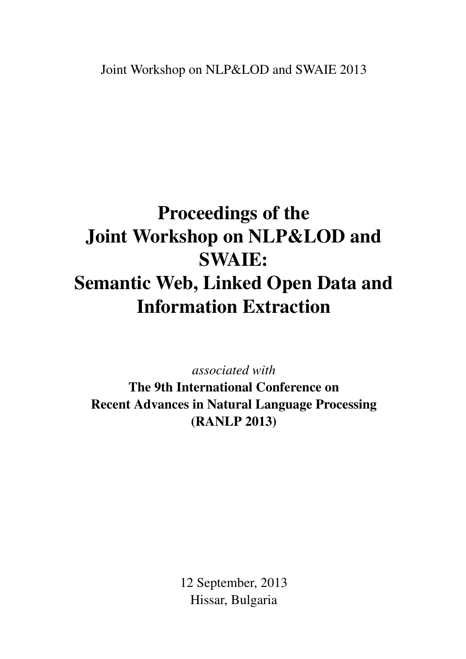# <span id="page-0-0"></span>Proceedings of the Joint Workshop on NLP&LOD and SWAIE: Semantic Web, Linked Open Data and Information Extraction

*associated with*

The 9th International Conference on Recent Advances in Natural Language Processing (RANLP 2013)

> 12 September, 2013 Hissar, Bulgaria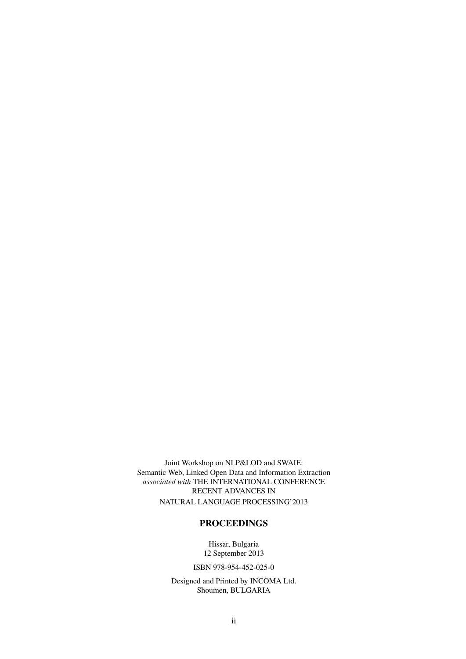Joint Workshop on NLP&LOD and SWAIE: Semantic Web, Linked Open Data and Information Extraction *associated with* THE INTERNATIONAL CONFERENCE RECENT ADVANCES IN NATURAL LANGUAGE PROCESSING'2013

#### PROCEEDINGS

Hissar, Bulgaria 12 September 2013

ISBN 978-954-452-025-0

Designed and Printed by INCOMA Ltd. Shoumen, BULGARIA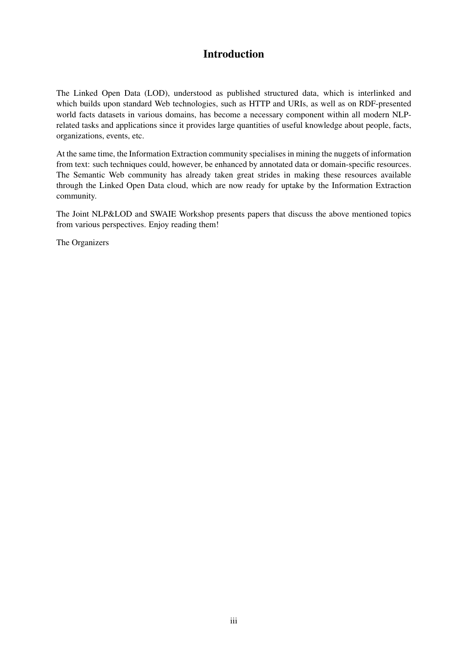### Introduction

The Linked Open Data (LOD), understood as published structured data, which is interlinked and which builds upon standard Web technologies, such as HTTP and URIs, as well as on RDF-presented world facts datasets in various domains, has become a necessary component within all modern NLPrelated tasks and applications since it provides large quantities of useful knowledge about people, facts, organizations, events, etc.

At the same time, the Information Extraction community specialises in mining the nuggets of information from text: such techniques could, however, be enhanced by annotated data or domain-specific resources. The Semantic Web community has already taken great strides in making these resources available through the Linked Open Data cloud, which are now ready for uptake by the Information Extraction community.

The Joint NLP&LOD and SWAIE Workshop presents papers that discuss the above mentioned topics from various perspectives. Enjoy reading them!

The Organizers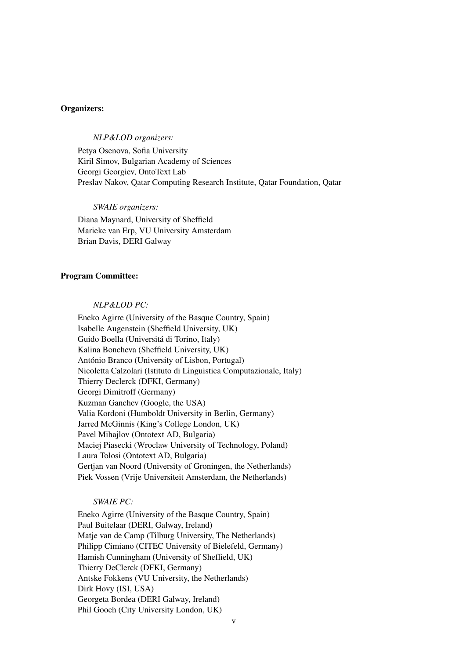#### Organizers:

#### *NLP&LOD organizers:*

Petya Osenova, Sofia University Kiril Simov, Bulgarian Academy of Sciences Georgi Georgiev, OntoText Lab Preslav Nakov, Qatar Computing Research Institute, Qatar Foundation, Qatar

*SWAIE organizers:* Diana Maynard, University of Sheffield Marieke van Erp, VU University Amsterdam Brian Davis, DERI Galway

#### Program Committee:

#### *NLP&LOD PC:*

Eneko Agirre (University of the Basque Country, Spain) Isabelle Augenstein (Sheffield University, UK) Guido Boella (Universitá di Torino, Italy) Kalina Boncheva (Sheffield University, UK) António Branco (University of Lisbon, Portugal) Nicoletta Calzolari (Istituto di Linguistica Computazionale, Italy) Thierry Declerck (DFKI, Germany) Georgi Dimitroff (Germany) Kuzman Ganchev (Google, the USA) Valia Kordoni (Humboldt University in Berlin, Germany) Jarred McGinnis (King's College London, UK) Pavel Mihajlov (Ontotext AD, Bulgaria) Maciej Piasecki (Wroclaw University of Technology, Poland) Laura Tolosi (Ontotext AD, Bulgaria) Gertjan van Noord (University of Groningen, the Netherlands) Piek Vossen (Vrije Universiteit Amsterdam, the Netherlands)

#### *SWAIE PC:*

Eneko Agirre (University of the Basque Country, Spain) Paul Buitelaar (DERI, Galway, Ireland) Matje van de Camp (Tilburg University, The Netherlands) Philipp Cimiano (CITEC University of Bielefeld, Germany) Hamish Cunningham (University of Sheffield, UK) Thierry DeClerck (DFKI, Germany) Antske Fokkens (VU University, the Netherlands) Dirk Hovy (ISI, USA) Georgeta Bordea (DERI Galway, Ireland) Phil Gooch (City University London, UK)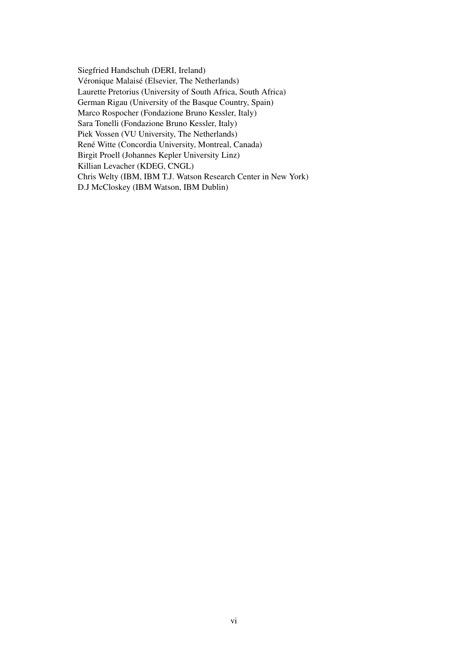Siegfried Handschuh (DERI, Ireland) Véronique Malaisé (Elsevier, The Netherlands) Laurette Pretorius (University of South Africa, South Africa) German Rigau (University of the Basque Country, Spain) Marco Rospocher (Fondazione Bruno Kessler, Italy) Sara Tonelli (Fondazione Bruno Kessler, Italy) Piek Vossen (VU University, The Netherlands) René Witte (Concordia University, Montreal, Canada) Birgit Proell (Johannes Kepler University Linz) Killian Levacher (KDEG, CNGL) Chris Welty (IBM, IBM T.J. Watson Research Center in New York) D.J McCloskey (IBM Watson, IBM Dublin)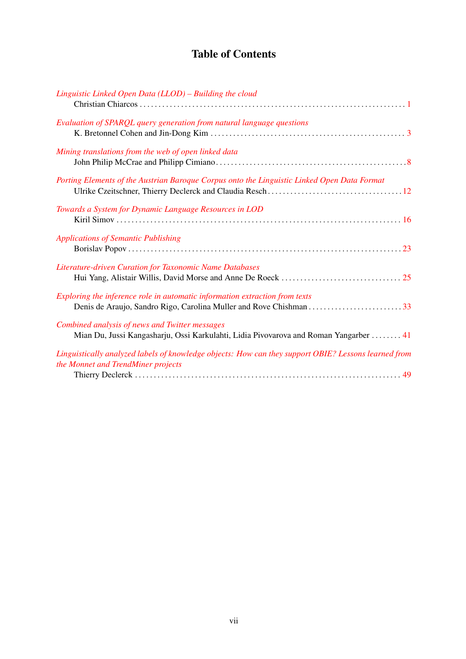# Table of Contents

| Linguistic Linked Open Data (LLOD) - Building the cloud                                                                                    |
|--------------------------------------------------------------------------------------------------------------------------------------------|
| Evaluation of SPARQL query generation from natural language questions                                                                      |
| Mining translations from the web of open linked data                                                                                       |
| Porting Elements of the Austrian Baroque Corpus onto the Linguistic Linked Open Data Format                                                |
| Towards a System for Dynamic Language Resources in LOD                                                                                     |
| <b>Applications of Semantic Publishing</b>                                                                                                 |
| Literature-driven Curation for Taxonomic Name Databases                                                                                    |
| Exploring the inference role in automatic information extraction from texts                                                                |
| Combined analysis of news and Twitter messages<br>Mian Du, Jussi Kangasharju, Ossi Karkulahti, Lidia Pivovarova and Roman Yangarber  41    |
| Linguistically analyzed labels of knowledge objects: How can they support OBIE? Lessons learned from<br>the Monnet and TrendMiner projects |
|                                                                                                                                            |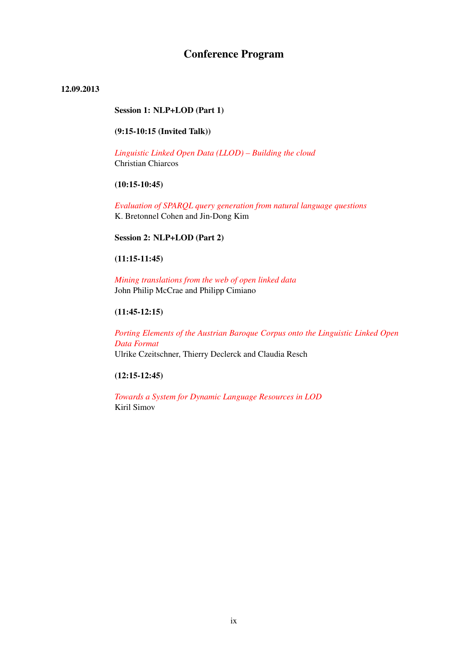## Conference Program

#### 12.09.2013

#### Session 1: NLP+LOD (Part 1)

#### (9:15-10:15 (Invited Talk))

*[Linguistic Linked Open Data \(LLOD\) – Building the cloud](#page-0-0)* Christian Chiarcos

#### (10:15-10:45)

*[Evaluation of SPARQL query generation from natural language questions](#page-0-0)* K. Bretonnel Cohen and Jin-Dong Kim

Session 2: NLP+LOD (Part 2)

#### (11:15-11:45)

*[Mining translations from the web of open linked data](#page-0-0)* John Philip McCrae and Philipp Cimiano

#### (11:45-12:15)

*[Porting Elements of the Austrian Baroque Corpus onto the Linguistic Linked Open](#page-0-0) [Data Format](#page-0-0)* Ulrike Czeitschner, Thierry Declerck and Claudia Resch

#### (12:15-12:45)

*[Towards a System for Dynamic Language Resources in LOD](#page-0-0)* Kiril Simov